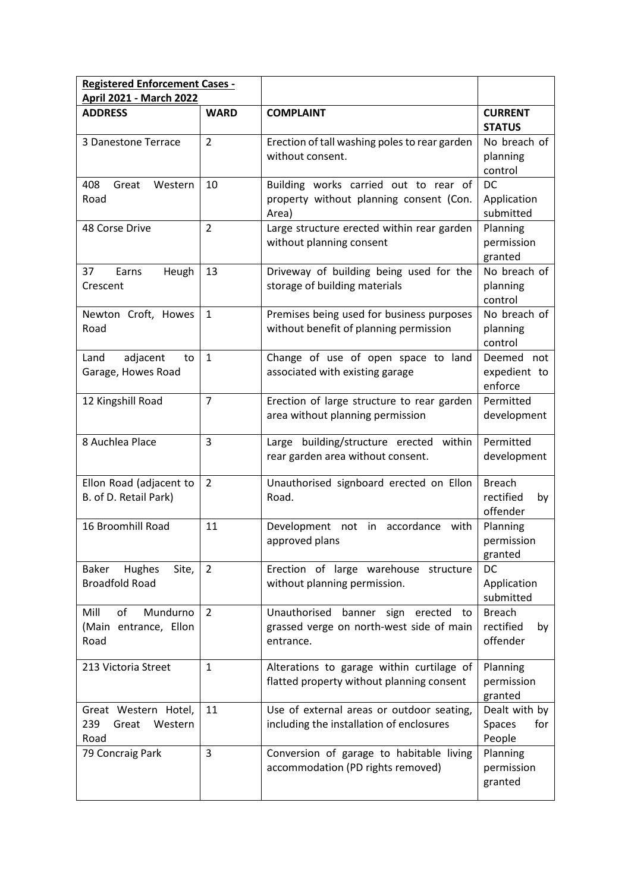| <b>Registered Enforcement Cases -</b><br><b>April 2021 - March 2022</b> |                |                                                                                              |                                              |
|-------------------------------------------------------------------------|----------------|----------------------------------------------------------------------------------------------|----------------------------------------------|
| <b>ADDRESS</b>                                                          | <b>WARD</b>    | <b>COMPLAINT</b>                                                                             | <b>CURRENT</b>                               |
|                                                                         |                |                                                                                              | <b>STATUS</b>                                |
| 3 Danestone Terrace                                                     | $\overline{2}$ | Erection of tall washing poles to rear garden<br>without consent.                            | No breach of<br>planning<br>control          |
| 408<br>Great<br>Western<br>Road                                         | 10             | Building works carried out to rear of<br>property without planning consent (Con.<br>Area)    | DC<br>Application<br>submitted               |
| 48 Corse Drive                                                          | $\overline{2}$ | Large structure erected within rear garden<br>without planning consent                       | Planning<br>permission<br>granted            |
| 37<br>Earns<br>Heugh<br>Crescent                                        | 13             | Driveway of building being used for the<br>storage of building materials                     | No breach of<br>planning<br>control          |
| Newton Croft, Howes<br>Road                                             | $\mathbf{1}$   | Premises being used for business purposes<br>without benefit of planning permission          | No breach of<br>planning<br>control          |
| Land<br>adjacent<br>to<br>Garage, Howes Road                            | $\mathbf{1}$   | Change of use of open space to land<br>associated with existing garage                       | Deemed not<br>expedient to<br>enforce        |
| 12 Kingshill Road                                                       | $\overline{7}$ | Erection of large structure to rear garden<br>area without planning permission               | Permitted<br>development                     |
| 8 Auchlea Place                                                         | $\overline{3}$ | Large building/structure erected within<br>rear garden area without consent.                 | Permitted<br>development                     |
| Ellon Road (adjacent to<br>B. of D. Retail Park)                        | $\overline{2}$ | Unauthorised signboard erected on Ellon<br>Road.                                             | <b>Breach</b><br>rectified<br>by<br>offender |
| 16 Broomhill Road                                                       | 11             | Development not in accordance with<br>approved plans                                         | Planning<br>permission<br>granted            |
| Hughes<br>Site,<br>Baker<br><b>Broadfold Road</b>                       | $\overline{2}$ | Erection of large warehouse structure<br>without planning permission.                        | <b>DC</b><br>Application<br>submitted        |
| of<br>Mill<br>Mundurno<br>(Main entrance, Ellon<br>Road                 | 2              | Unauthorised banner sign erected to<br>grassed verge on north-west side of main<br>entrance. | <b>Breach</b><br>rectified<br>by<br>offender |
| 213 Victoria Street                                                     | $\mathbf{1}$   | Alterations to garage within curtilage of<br>flatted property without planning consent       | Planning<br>permission<br>granted            |
| Great Western Hotel,<br>239<br>Great<br>Western<br>Road                 | 11             | Use of external areas or outdoor seating,<br>including the installation of enclosures        | Dealt with by<br>Spaces<br>for<br>People     |
| 79 Concraig Park                                                        | $\overline{3}$ | Conversion of garage to habitable living<br>accommodation (PD rights removed)                | Planning<br>permission<br>granted            |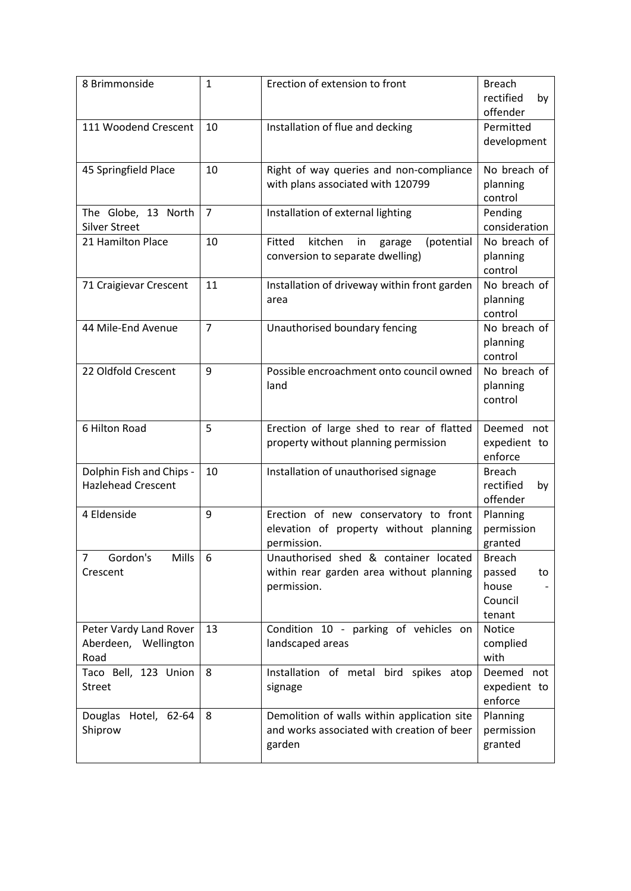| 8 Brimmonside                                          | $\mathbf{1}$   | Erection of extension to front                                                                      | <b>Breach</b><br>rectified<br>by<br>offender                |
|--------------------------------------------------------|----------------|-----------------------------------------------------------------------------------------------------|-------------------------------------------------------------|
| 111 Woodend Crescent                                   | 10             | Installation of flue and decking                                                                    | Permitted<br>development                                    |
| 45 Springfield Place                                   | 10             | Right of way queries and non-compliance<br>with plans associated with 120799                        | No breach of<br>planning<br>control                         |
| The Globe, 13 North<br><b>Silver Street</b>            | $\overline{7}$ | Installation of external lighting                                                                   | Pending<br>consideration                                    |
| 21 Hamilton Place                                      | 10             | Fitted<br>kitchen<br>(potential<br>in<br>garage<br>conversion to separate dwelling)                 | No breach of<br>planning<br>control                         |
| 71 Craigievar Crescent                                 | 11             | Installation of driveway within front garden<br>area                                                | No breach of<br>planning<br>control                         |
| 44 Mile-End Avenue                                     | $\overline{7}$ | Unauthorised boundary fencing                                                                       | No breach of<br>planning<br>control                         |
| 22 Oldfold Crescent                                    | 9              | Possible encroachment onto council owned<br>land                                                    | No breach of<br>planning<br>control                         |
| 6 Hilton Road                                          | 5              | Erection of large shed to rear of flatted<br>property without planning permission                   | Deemed not<br>expedient to<br>enforce                       |
| Dolphin Fish and Chips -<br><b>Hazlehead Crescent</b>  | 10             | Installation of unauthorised signage                                                                | <b>Breach</b><br>rectified<br>by<br>offender                |
| 4 Eldenside                                            | 9              | Erection of new conservatory to front<br>elevation of property without planning<br>permission.      | Planning<br>permission<br>granted                           |
| Gordon's<br><b>Mills</b><br>7<br>Crescent              | 6              | Unauthorised shed & container located<br>within rear garden area without planning<br>permission.    | <b>Breach</b><br>passed<br>to<br>house<br>Council<br>tenant |
| Peter Vardy Land Rover<br>Aberdeen, Wellington<br>Road | 13             | Condition 10 - parking of vehicles on<br>landscaped areas                                           | <b>Notice</b><br>complied<br>with                           |
| Taco Bell, 123 Union<br>Street                         | 8              | Installation of metal bird spikes atop<br>signage                                                   | Deemed not<br>expedient to<br>enforce                       |
| Douglas<br>Hotel, 62-64<br>Shiprow                     | 8              | Demolition of walls within application site<br>and works associated with creation of beer<br>garden | Planning<br>permission<br>granted                           |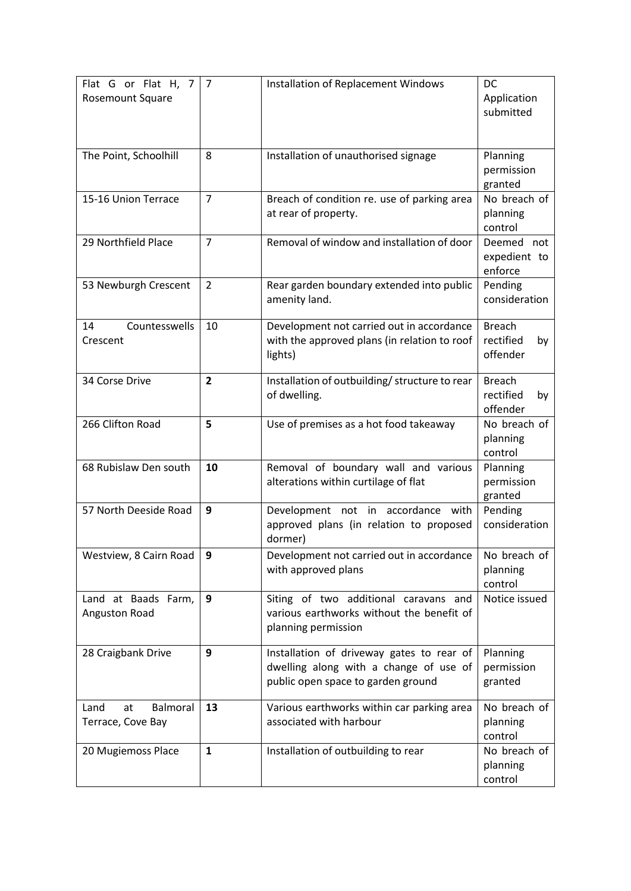| Flat G or Flat H, 7<br>Rosemount Square            | 7              | Installation of Replacement Windows                                                                                       | DC<br>Application<br>submitted               |
|----------------------------------------------------|----------------|---------------------------------------------------------------------------------------------------------------------------|----------------------------------------------|
| The Point, Schoolhill                              | 8              | Installation of unauthorised signage                                                                                      | Planning<br>permission<br>granted            |
| 15-16 Union Terrace                                | $\overline{7}$ | Breach of condition re. use of parking area<br>at rear of property.                                                       | No breach of<br>planning<br>control          |
| 29 Northfield Place                                | $\overline{7}$ | Removal of window and installation of door                                                                                | Deemed not<br>expedient to<br>enforce        |
| 53 Newburgh Crescent                               | $\overline{2}$ | Rear garden boundary extended into public<br>amenity land.                                                                | Pending<br>consideration                     |
| Countesswells<br>14<br>Crescent                    | 10             | Development not carried out in accordance<br>with the approved plans (in relation to roof<br>lights)                      | <b>Breach</b><br>rectified<br>by<br>offender |
| 34 Corse Drive                                     | $\overline{2}$ | Installation of outbuilding/ structure to rear<br>of dwelling.                                                            | <b>Breach</b><br>rectified<br>by<br>offender |
| 266 Clifton Road                                   | 5              | Use of premises as a hot food takeaway                                                                                    | No breach of<br>planning<br>control          |
| 68 Rubislaw Den south                              | 10             | Removal of boundary wall and various<br>alterations within curtilage of flat                                              | Planning<br>permission<br>granted            |
| 57 North Deeside Road                              | 9              | Development not in accordance with<br>approved plans (in relation to proposed<br>dormer)                                  | Pending<br>consideration                     |
| Westview, 8 Cairn Road                             | 9              | Development not carried out in accordance<br>with approved plans                                                          | No breach of<br>planning<br>control          |
| Land at Baads Farm,<br>Anguston Road               | 9              | Siting of two additional caravans and<br>various earthworks without the benefit of<br>planning permission                 | Notice issued                                |
| 28 Craigbank Drive                                 | 9              | Installation of driveway gates to rear of<br>dwelling along with a change of use of<br>public open space to garden ground | Planning<br>permission<br>granted            |
| Land<br><b>Balmoral</b><br>at<br>Terrace, Cove Bay | 13             | Various earthworks within car parking area<br>associated with harbour                                                     | No breach of<br>planning<br>control          |
| 20 Mugiemoss Place                                 | $\mathbf{1}$   | Installation of outbuilding to rear                                                                                       | No breach of<br>planning<br>control          |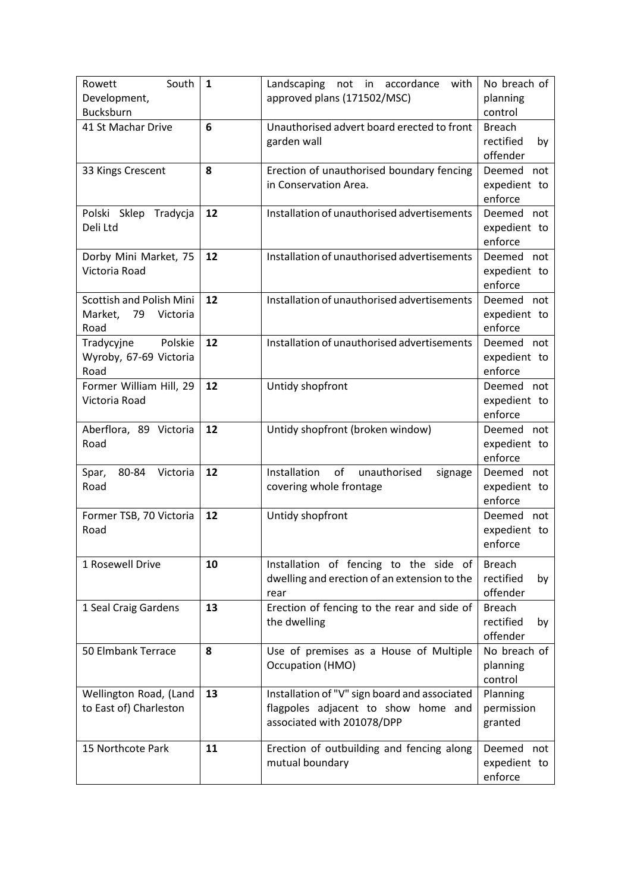| Rowett<br>South<br>Development,                                      | $\mathbf{1}$ | Landscaping not in accordance<br>with<br>approved plans (171502/MSC)                                               | No breach of<br>planning                     |
|----------------------------------------------------------------------|--------------|--------------------------------------------------------------------------------------------------------------------|----------------------------------------------|
| Bucksburn                                                            |              |                                                                                                                    | control                                      |
| 41 St Machar Drive                                                   | 6            | Unauthorised advert board erected to front<br>garden wall                                                          | <b>Breach</b><br>rectified<br>by<br>offender |
| 33 Kings Crescent                                                    | 8            | Erection of unauthorised boundary fencing<br>in Conservation Area.                                                 | Deemed not<br>expedient to<br>enforce        |
| Polski Sklep<br>Tradycja<br>Deli Ltd                                 | 12           | Installation of unauthorised advertisements                                                                        | Deemed not<br>expedient to<br>enforce        |
| Dorby Mini Market, 75<br>Victoria Road                               | 12           | Installation of unauthorised advertisements                                                                        | Deemed not<br>expedient to<br>enforce        |
| <b>Scottish and Polish Mini</b><br>79<br>Market,<br>Victoria<br>Road | 12           | Installation of unauthorised advertisements                                                                        | Deemed not<br>expedient to<br>enforce        |
| Polskie<br>Tradycyjne<br>Wyroby, 67-69 Victoria<br>Road              | 12           | Installation of unauthorised advertisements                                                                        | Deemed not<br>expedient to<br>enforce        |
| Former William Hill, 29<br>Victoria Road                             | 12           | Untidy shopfront                                                                                                   | Deemed not<br>expedient to<br>enforce        |
| Aberflora, 89 Victoria<br>Road                                       | 12           | Untidy shopfront (broken window)                                                                                   | Deemed not<br>expedient to<br>enforce        |
| 80-84<br>Victoria<br>Spar,<br>Road                                   | 12           | of<br>Installation<br>unauthorised<br>signage<br>covering whole frontage                                           | Deemed not<br>expedient to<br>enforce        |
| Former TSB, 70 Victoria<br>Road                                      | 12           | Untidy shopfront                                                                                                   | Deemed not<br>expedient to<br>enforce        |
| 1 Rosewell Drive                                                     | 10           | Installation of fencing to the side of<br>dwelling and erection of an extension to the<br>rear                     | <b>Breach</b><br>rectified<br>by<br>offender |
| 1 Seal Craig Gardens                                                 | 13           | Erection of fencing to the rear and side of<br>the dwelling                                                        | <b>Breach</b><br>rectified<br>by<br>offender |
| 50 Elmbank Terrace                                                   | 8            | Use of premises as a House of Multiple<br>Occupation (HMO)                                                         | No breach of<br>planning<br>control          |
| Wellington Road, (Land<br>to East of) Charleston                     | 13           | Installation of "V" sign board and associated<br>flagpoles adjacent to show home and<br>associated with 201078/DPP | Planning<br>permission<br>granted            |
| 15 Northcote Park                                                    | 11           | Erection of outbuilding and fencing along<br>mutual boundary                                                       | Deemed not<br>expedient to<br>enforce        |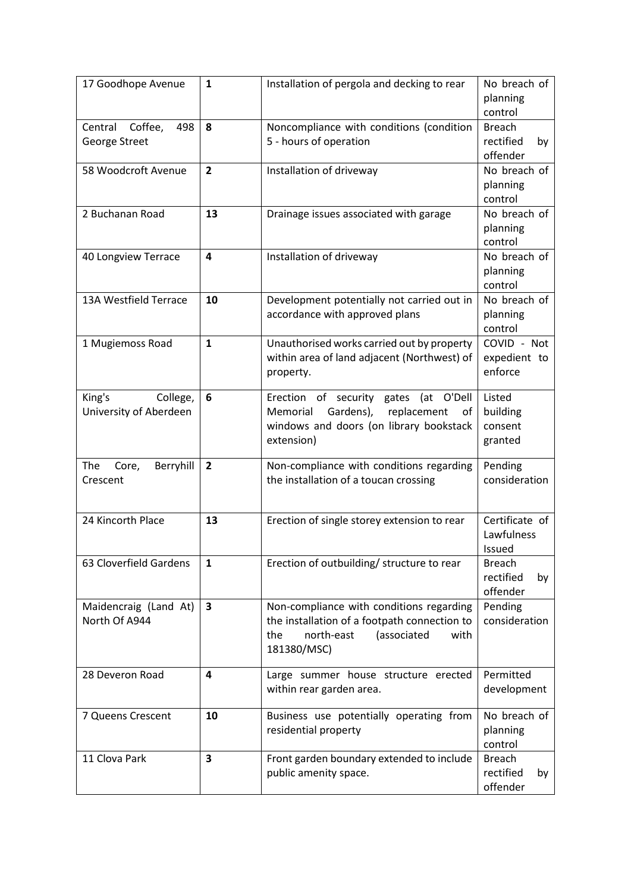| 17 Goodhope Avenue                           | $\mathbf{1}$            | Installation of pergola and decking to rear                                                                                                         | No breach of<br>planning<br>control          |
|----------------------------------------------|-------------------------|-----------------------------------------------------------------------------------------------------------------------------------------------------|----------------------------------------------|
| Coffee,<br>498<br>Central<br>George Street   | 8                       | Noncompliance with conditions (condition<br>5 - hours of operation                                                                                  | <b>Breach</b><br>rectified<br>by<br>offender |
| 58 Woodcroft Avenue                          | $\overline{2}$          | Installation of driveway                                                                                                                            | No breach of<br>planning<br>control          |
| 2 Buchanan Road                              | 13                      | Drainage issues associated with garage                                                                                                              | No breach of<br>planning<br>control          |
| 40 Longview Terrace                          | $\overline{\mathbf{a}}$ | Installation of driveway                                                                                                                            | No breach of<br>planning<br>control          |
| 13A Westfield Terrace                        | 10                      | Development potentially not carried out in<br>accordance with approved plans                                                                        | No breach of<br>planning<br>control          |
| 1 Mugiemoss Road                             | $\mathbf{1}$            | Unauthorised works carried out by property<br>within area of land adjacent (Northwest) of<br>property.                                              | COVID - Not<br>expedient to<br>enforce       |
| King's<br>College,<br>University of Aberdeen | 6                       | Erection of security gates (at O'Dell<br>Gardens),<br>replacement<br>Memorial<br>οf<br>windows and doors (on library bookstack<br>extension)        | Listed<br>building<br>consent<br>granted     |
| Berryhill<br>The<br>Core,<br>Crescent        | $\overline{2}$          | Non-compliance with conditions regarding<br>the installation of a toucan crossing                                                                   | Pending<br>consideration                     |
| 24 Kincorth Place                            | 13                      | Erection of single storey extension to rear                                                                                                         | Certificate of<br>Lawfulness<br>Issued       |
| 63 Cloverfield Gardens                       | $\mathbf{1}$            | Erection of outbuilding/ structure to rear                                                                                                          | <b>Breach</b><br>rectified<br>by<br>offender |
| Maidencraig (Land At)<br>North Of A944       | $\overline{\mathbf{3}}$ | Non-compliance with conditions regarding<br>the installation of a footpath connection to<br>north-east<br>(associated<br>the<br>with<br>181380/MSC) | Pending<br>consideration                     |
| 28 Deveron Road                              | 4                       | Large summer house structure erected<br>within rear garden area.                                                                                    | Permitted<br>development                     |
| 7 Queens Crescent                            | 10                      | Business use potentially operating from<br>residential property                                                                                     | No breach of<br>planning<br>control          |
| 11 Clova Park                                | $\overline{\mathbf{3}}$ | Front garden boundary extended to include<br>public amenity space.                                                                                  | <b>Breach</b><br>rectified<br>by<br>offender |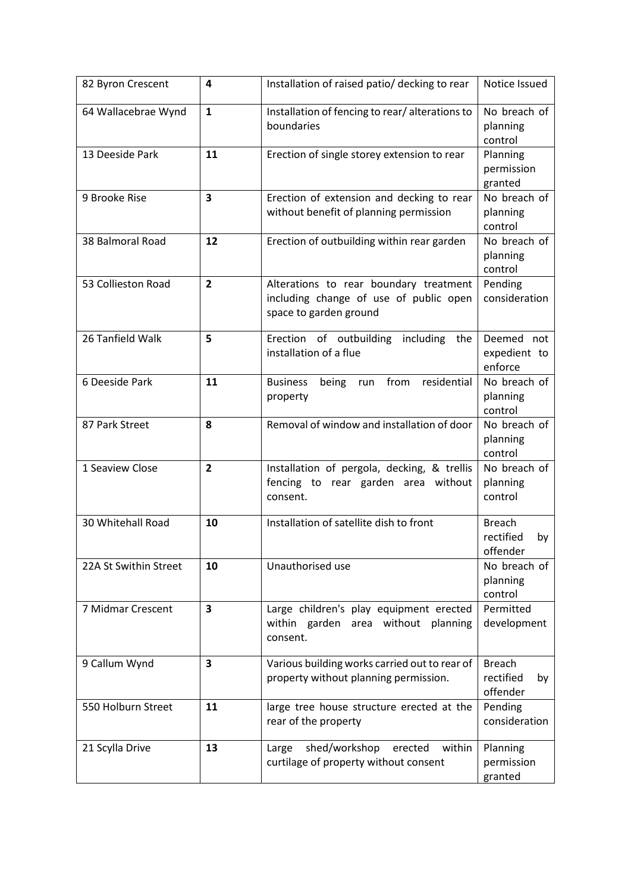| 82 Byron Crescent     | 4                       | Installation of raised patio/ decking to rear                                                              | Notice Issued                                |
|-----------------------|-------------------------|------------------------------------------------------------------------------------------------------------|----------------------------------------------|
| 64 Wallacebrae Wynd   | $\mathbf{1}$            | Installation of fencing to rear/alterations to<br>boundaries                                               | No breach of<br>planning<br>control          |
| 13 Deeside Park       | 11                      | Erection of single storey extension to rear                                                                | Planning<br>permission<br>granted            |
| 9 Brooke Rise         | $\overline{\mathbf{3}}$ | Erection of extension and decking to rear<br>without benefit of planning permission                        | No breach of<br>planning<br>control          |
| 38 Balmoral Road      | 12                      | Erection of outbuilding within rear garden                                                                 | No breach of<br>planning<br>control          |
| 53 Collieston Road    | $\overline{2}$          | Alterations to rear boundary treatment<br>including change of use of public open<br>space to garden ground | Pending<br>consideration                     |
| 26 Tanfield Walk      | 5                       | Erection of outbuilding including the<br>installation of a flue                                            | Deemed not<br>expedient to<br>enforce        |
| 6 Deeside Park        | 11                      | from<br>residential<br><b>Business</b><br>being<br>run<br>property                                         | No breach of<br>planning<br>control          |
| 87 Park Street        | 8                       | Removal of window and installation of door                                                                 | No breach of<br>planning<br>control          |
| 1 Seaview Close       | $\overline{2}$          | Installation of pergola, decking, & trellis<br>fencing to rear garden area without<br>consent.             | No breach of<br>planning<br>control          |
| 30 Whitehall Road     | 10                      | Installation of satellite dish to front                                                                    | <b>Breach</b><br>rectified<br>by<br>offender |
| 22A St Swithin Street | 10                      | Unauthorised use                                                                                           | No breach of<br>planning<br>control          |
| 7 Midmar Crescent     | $\overline{\mathbf{3}}$ | Large children's play equipment erected<br>within garden area without planning<br>consent.                 | Permitted<br>development                     |
| 9 Callum Wynd         | 3                       | Various building works carried out to rear of<br>property without planning permission.                     | <b>Breach</b><br>rectified<br>by<br>offender |
| 550 Holburn Street    | 11                      | large tree house structure erected at the<br>rear of the property                                          | Pending<br>consideration                     |
| 21 Scylla Drive       | 13                      | shed/workshop<br>within<br>erected<br>Large<br>curtilage of property without consent                       | Planning<br>permission<br>granted            |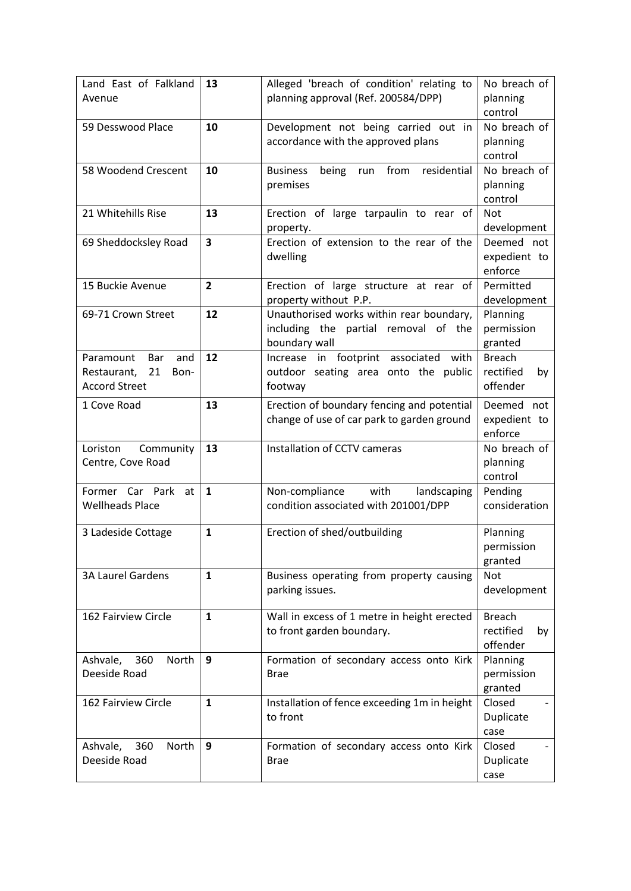| Land East of Falkland<br>Avenue | 13                      | Alleged 'breach of condition' relating to<br>planning approval (Ref. 200584/DPP) | No breach of<br>planning |
|---------------------------------|-------------------------|----------------------------------------------------------------------------------|--------------------------|
|                                 |                         |                                                                                  | control                  |
| 59 Desswood Place               | 10                      | Development not being carried out in                                             | No breach of             |
|                                 |                         | accordance with the approved plans                                               | planning                 |
|                                 |                         |                                                                                  | control                  |
| 58 Woodend Crescent             | 10                      | from<br>residential<br><b>Business</b><br>being<br>run                           | No breach of             |
|                                 |                         | premises                                                                         | planning                 |
|                                 |                         |                                                                                  | control                  |
| 21 Whitehills Rise              | 13                      | Erection of large tarpaulin to rear of                                           | <b>Not</b>               |
|                                 |                         | property.                                                                        | development              |
| 69 Sheddocksley Road            | $\overline{\mathbf{3}}$ | Erection of extension to the rear of the                                         | Deemed not               |
|                                 |                         | dwelling                                                                         | expedient to             |
|                                 |                         |                                                                                  | enforce                  |
| 15 Buckie Avenue                | $\overline{2}$          | Erection of large structure at rear of                                           | Permitted                |
|                                 |                         | property without P.P.                                                            | development              |
| 69-71 Crown Street              | 12                      | Unauthorised works within rear boundary,                                         | Planning                 |
|                                 |                         | including the partial removal of the                                             | permission               |
|                                 |                         | boundary wall                                                                    | granted                  |
| Paramount<br>Bar<br>and         | 12                      | Increase in footprint associated with                                            | <b>Breach</b>            |
| 21<br>Restaurant,<br>Bon-       |                         | outdoor seating area onto the public                                             | rectified<br>by          |
| <b>Accord Street</b>            |                         | footway                                                                          | offender                 |
| 1 Cove Road                     | 13                      | Erection of boundary fencing and potential                                       | Deemed not               |
|                                 |                         | change of use of car park to garden ground                                       | expedient to             |
|                                 |                         |                                                                                  | enforce                  |
| Community<br>Loriston           | 13                      | Installation of CCTV cameras                                                     | No breach of             |
| Centre, Cove Road               |                         |                                                                                  | planning                 |
|                                 |                         |                                                                                  | control                  |
| Former Car Park<br>at           | $\mathbf{1}$            | Non-compliance<br>with<br>landscaping                                            | Pending                  |
| <b>Wellheads Place</b>          |                         | condition associated with 201001/DPP                                             | consideration            |
|                                 |                         |                                                                                  |                          |
| 3 Ladeside Cottage              | $\mathbf{1}$            | Erection of shed/outbuilding                                                     | Planning                 |
|                                 |                         |                                                                                  | permission               |
|                                 | $\mathbf{1}$            |                                                                                  | granted<br><b>Not</b>    |
| <b>3A Laurel Gardens</b>        |                         | Business operating from property causing<br>parking issues.                      | development              |
|                                 |                         |                                                                                  |                          |
| 162 Fairview Circle             | $\mathbf{1}$            | Wall in excess of 1 metre in height erected                                      | <b>Breach</b>            |
|                                 |                         | to front garden boundary.                                                        | rectified<br>by          |
|                                 |                         |                                                                                  | offender                 |
| 360<br>North<br>Ashvale,        | 9                       | Formation of secondary access onto Kirk                                          | Planning                 |
| Deeside Road                    |                         | <b>Brae</b>                                                                      | permission               |
|                                 |                         |                                                                                  | granted                  |
| 162 Fairview Circle             | $\mathbf{1}$            | Installation of fence exceeding 1m in height                                     | Closed                   |
|                                 |                         | to front                                                                         | Duplicate                |
|                                 |                         |                                                                                  | case                     |
| 360<br>Ashvale,<br>North        | 9                       | Formation of secondary access onto Kirk                                          | Closed                   |
| Deeside Road                    |                         | <b>Brae</b>                                                                      | Duplicate                |
|                                 |                         |                                                                                  | case                     |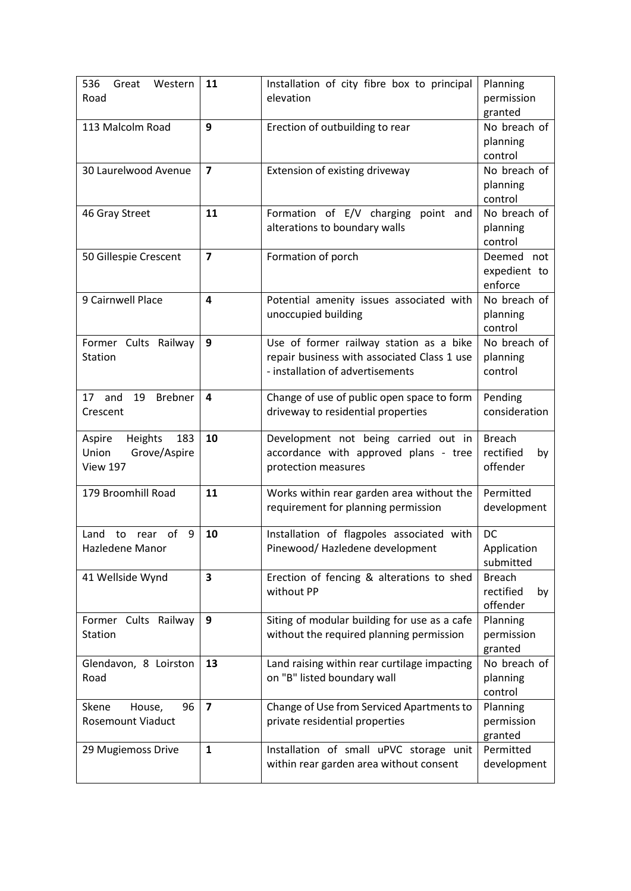| 536<br>Great<br>Western<br>Road | 11                      | Installation of city fibre box to principal<br>elevation | Planning<br>permission |
|---------------------------------|-------------------------|----------------------------------------------------------|------------------------|
|                                 |                         |                                                          | granted                |
| 113 Malcolm Road                | 9                       | Erection of outbuilding to rear                          | No breach of           |
|                                 |                         |                                                          | planning               |
|                                 |                         |                                                          | control                |
| 30 Laurelwood Avenue            | $\overline{7}$          | Extension of existing driveway                           | No breach of           |
|                                 |                         |                                                          | planning               |
|                                 |                         |                                                          | control                |
| 46 Gray Street                  | 11                      | Formation of E/V charging<br>point and                   | No breach of           |
|                                 |                         | alterations to boundary walls                            | planning               |
|                                 |                         |                                                          | control                |
| 50 Gillespie Crescent           | $\overline{7}$          | Formation of porch                                       | Deemed not             |
|                                 |                         |                                                          | expedient to           |
|                                 |                         |                                                          | enforce                |
| 9 Cairnwell Place               | 4                       | Potential amenity issues associated with                 | No breach of           |
|                                 |                         | unoccupied building                                      | planning               |
|                                 |                         |                                                          | control                |
| Former Cults Railway            | 9                       | Use of former railway station as a bike                  | No breach of           |
| Station                         |                         | repair business with associated Class 1 use              | planning               |
|                                 |                         | - installation of advertisements                         | control                |
|                                 |                         |                                                          |                        |
| 17 and<br>19<br><b>Brebner</b>  | $\overline{4}$          | Change of use of public open space to form               | Pending                |
| Crescent                        |                         | driveway to residential properties                       | consideration          |
|                                 |                         |                                                          |                        |
| Heights<br>183<br>Aspire        | 10                      | Development not being carried out in                     | <b>Breach</b>          |
| Union<br>Grove/Aspire           |                         | accordance with approved plans - tree                    | rectified<br>by        |
| <b>View 197</b>                 |                         | protection measures                                      | offender               |
|                                 |                         |                                                          |                        |
| 179 Broomhill Road              | 11                      | Works within rear garden area without the                | Permitted              |
|                                 |                         | requirement for planning permission                      | development            |
|                                 |                         |                                                          |                        |
| of<br>Land<br>rear<br>9<br>to   | 10                      | Installation of flagpoles associated with                | DC                     |
| Hazledene Manor                 |                         |                                                          |                        |
|                                 |                         | Pinewood/Hazledene development                           | Application            |
|                                 |                         |                                                          | submitted              |
| 41 Wellside Wynd                | 3                       | Erection of fencing & alterations to shed                | <b>Breach</b>          |
|                                 |                         | without PP                                               | rectified<br>by        |
|                                 |                         |                                                          | offender               |
| Former Cults Railway            | 9                       | Siting of modular building for use as a cafe             | Planning               |
| <b>Station</b>                  |                         | without the required planning permission                 | permission             |
|                                 |                         |                                                          | granted                |
| Glendavon, 8 Loirston           | 13                      | Land raising within rear curtilage impacting             | No breach of           |
| Road                            |                         | on "B" listed boundary wall                              | planning               |
|                                 |                         |                                                          | control                |
| House,<br>Skene<br>96           | $\overline{\mathbf{z}}$ | Change of Use from Serviced Apartments to                | Planning               |
| <b>Rosemount Viaduct</b>        |                         | private residential properties                           | permission             |
|                                 |                         |                                                          | granted                |
| 29 Mugiemoss Drive              | $\mathbf{1}$            | Installation of small uPVC storage unit                  | Permitted              |
|                                 |                         | within rear garden area without consent                  | development            |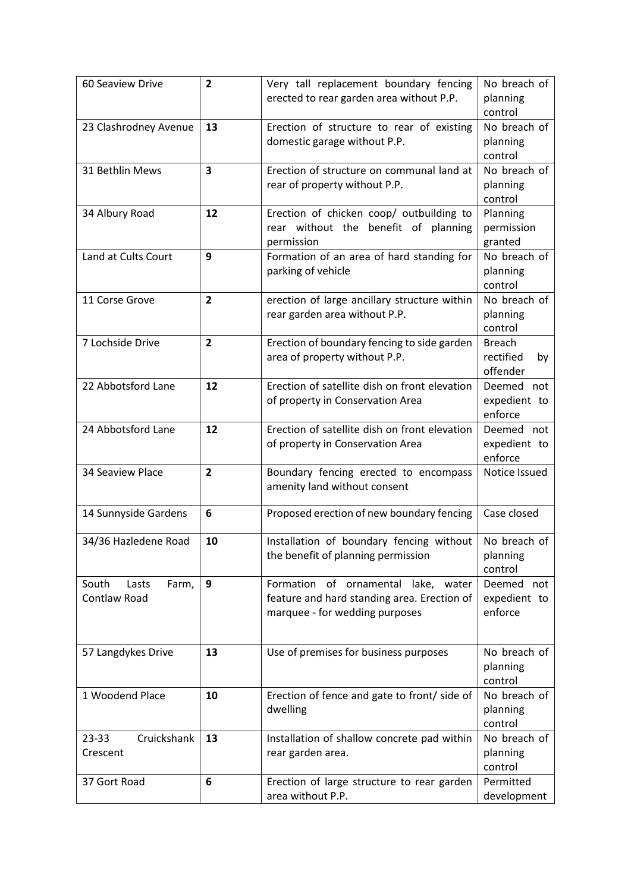| 60 Seaview Drive                        | $\overline{2}$          | Very tall replacement boundary fencing<br>erected to rear garden area without P.P.                                   | No breach of<br>planning<br>control          |
|-----------------------------------------|-------------------------|----------------------------------------------------------------------------------------------------------------------|----------------------------------------------|
| 23 Clashrodney Avenue                   | 13                      | Erection of structure to rear of existing<br>domestic garage without P.P.                                            | No breach of<br>planning<br>control          |
| 31 Bethlin Mews                         | $\overline{\mathbf{3}}$ | Erection of structure on communal land at<br>rear of property without P.P.                                           | No breach of<br>planning<br>control          |
| 34 Albury Road                          | 12                      | Erection of chicken coop/ outbuilding to<br>rear without the benefit of planning<br>permission                       | Planning<br>permission<br>granted            |
| Land at Cults Court                     | 9                       | Formation of an area of hard standing for<br>parking of vehicle                                                      | No breach of<br>planning<br>control          |
| 11 Corse Grove                          | $\overline{2}$          | erection of large ancillary structure within<br>rear garden area without P.P.                                        | No breach of<br>planning<br>control          |
| 7 Lochside Drive                        | $\overline{2}$          | Erection of boundary fencing to side garden<br>area of property without P.P.                                         | <b>Breach</b><br>rectified<br>by<br>offender |
| 22 Abbotsford Lane                      | 12                      | Erection of satellite dish on front elevation<br>of property in Conservation Area                                    | Deemed not<br>expedient to<br>enforce        |
| 24 Abbotsford Lane                      | 12                      | Erection of satellite dish on front elevation<br>of property in Conservation Area                                    | Deemed not<br>expedient to<br>enforce        |
| 34 Seaview Place                        | $\overline{2}$          | Boundary fencing erected to encompass<br>amenity land without consent                                                | Notice Issued                                |
| 14 Sunnyside Gardens                    | 6                       | Proposed erection of new boundary fencing                                                                            | Case closed                                  |
| 34/36 Hazledene Road                    | 10                      | Installation of boundary fencing without<br>the benefit of planning permission                                       | No breach of<br>planning<br>control          |
| South<br>Farm,<br>Lasts<br>Contlaw Road | 9                       | Formation of ornamental lake, water<br>feature and hard standing area. Erection of<br>marquee - for wedding purposes | Deemed not<br>expedient to<br>enforce        |
| 57 Langdykes Drive                      | 13                      | Use of premises for business purposes                                                                                | No breach of<br>planning<br>control          |
| 1 Woodend Place                         | 10                      | Erection of fence and gate to front/ side of<br>dwelling                                                             | No breach of<br>planning<br>control          |
| Cruickshank<br>$23 - 33$<br>Crescent    | 13                      | Installation of shallow concrete pad within<br>rear garden area.                                                     | No breach of<br>planning<br>control          |
| 37 Gort Road                            | 6                       | Erection of large structure to rear garden<br>area without P.P.                                                      | Permitted<br>development                     |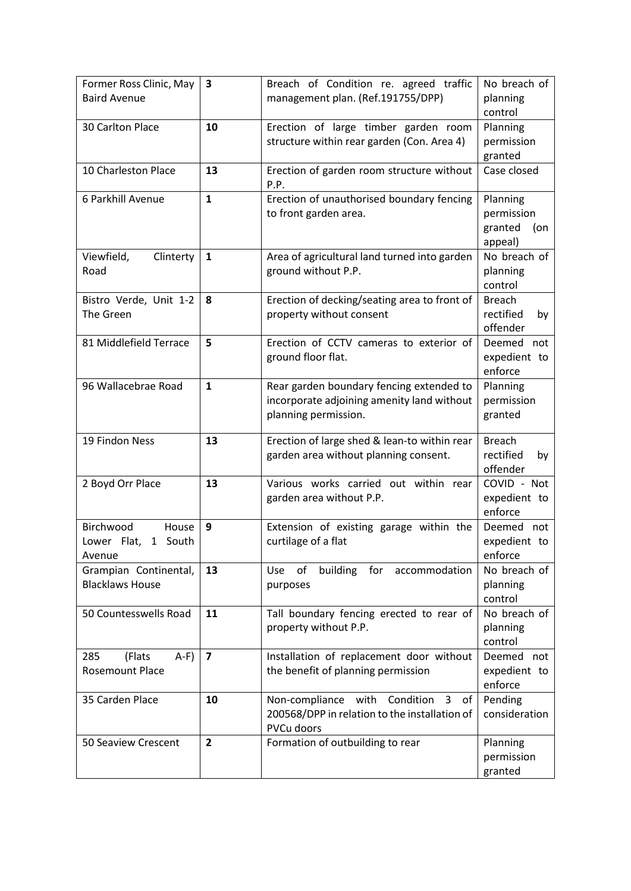| Former Ross Clinic, May<br><b>Baird Avenue</b>         | $\overline{\mathbf{3}}$ | Breach of Condition re. agreed traffic<br>management plan. (Ref.191755/DPP)                                    | No breach of<br>planning<br>control                 |
|--------------------------------------------------------|-------------------------|----------------------------------------------------------------------------------------------------------------|-----------------------------------------------------|
| 30 Carlton Place                                       | 10                      | Erection of large timber garden room<br>structure within rear garden (Con. Area 4)                             | Planning<br>permission<br>granted                   |
| 10 Charleston Place                                    | 13                      | Erection of garden room structure without<br>P.P.                                                              | Case closed                                         |
| 6 Parkhill Avenue                                      | $\mathbf{1}$            | Erection of unauthorised boundary fencing<br>to front garden area.                                             | Planning<br>permission<br>granted<br>(on<br>appeal) |
| Viewfield,<br>Clinterty<br>Road                        | $\mathbf{1}$            | Area of agricultural land turned into garden<br>ground without P.P.                                            | No breach of<br>planning<br>control                 |
| Bistro Verde, Unit 1-2<br>The Green                    | 8                       | Erection of decking/seating area to front of<br>property without consent                                       | <b>Breach</b><br>rectified<br>by<br>offender        |
| 81 Middlefield Terrace                                 | 5                       | Erection of CCTV cameras to exterior of<br>ground floor flat.                                                  | Deemed<br>not<br>expedient to<br>enforce            |
| 96 Wallacebrae Road                                    | $\mathbf{1}$            | Rear garden boundary fencing extended to<br>incorporate adjoining amenity land without<br>planning permission. | Planning<br>permission<br>granted                   |
| 19 Findon Ness                                         | 13                      | Erection of large shed & lean-to within rear<br>garden area without planning consent.                          | <b>Breach</b><br>rectified<br>by<br>offender        |
| 2 Boyd Orr Place                                       | 13                      | Various works carried out within rear<br>garden area without P.P.                                              | COVID - Not<br>expedient to<br>enforce              |
| Birchwood<br>House<br>Lower Flat,<br>1 South<br>Avenue | 9                       | Extension of existing garage within the<br>curtilage of a flat                                                 | Deemed<br>not<br>expedient to<br>enforce            |
| Grampian Continental,<br><b>Blacklaws House</b>        | 13                      | of<br>building<br>for<br>Use<br>accommodation<br>purposes                                                      | No breach of<br>planning<br>control                 |
| 50 Countesswells Road                                  | 11                      | Tall boundary fencing erected to rear of<br>property without P.P.                                              | No breach of<br>planning<br>control                 |
| 285<br>(Flats<br>$A-F$<br>Rosemount Place              | $\overline{7}$          | Installation of replacement door without<br>the benefit of planning permission                                 | Deemed not<br>expedient to<br>enforce               |
| 35 Carden Place                                        | 10                      | Non-compliance with<br>Condition<br>3<br>of<br>200568/DPP in relation to the installation of<br>PVCu doors     | Pending<br>consideration                            |
| 50 Seaview Crescent                                    | $\overline{2}$          | Formation of outbuilding to rear                                                                               | Planning<br>permission<br>granted                   |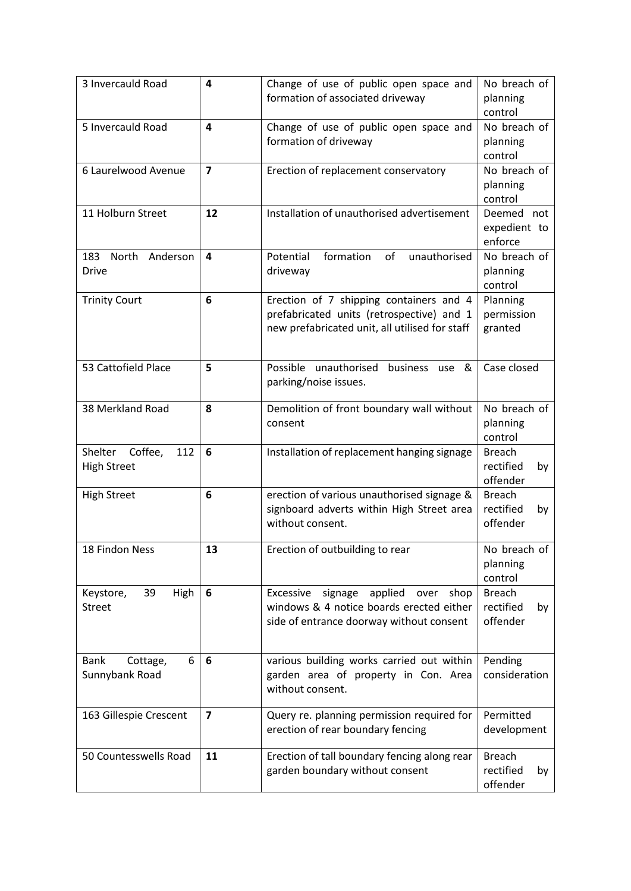| 3 Invercauld Road                               | $\overline{a}$          | Change of use of public open space and<br>formation of associated driveway                                                             | No breach of<br>planning<br>control          |
|-------------------------------------------------|-------------------------|----------------------------------------------------------------------------------------------------------------------------------------|----------------------------------------------|
| 5 Invercauld Road                               | $\overline{a}$          | Change of use of public open space and<br>formation of driveway                                                                        | No breach of<br>planning<br>control          |
| 6 Laurelwood Avenue                             | $\overline{7}$          | Erection of replacement conservatory                                                                                                   | No breach of<br>planning<br>control          |
| 11 Holburn Street                               | 12                      | Installation of unauthorised advertisement                                                                                             | Deemed not<br>expedient to<br>enforce        |
| North<br>Anderson<br>183<br><b>Drive</b>        | $\overline{\mathbf{4}}$ | formation<br>of<br>unauthorised<br>Potential<br>driveway                                                                               | No breach of<br>planning<br>control          |
| <b>Trinity Court</b>                            | 6                       | Erection of 7 shipping containers and 4<br>prefabricated units (retrospective) and 1<br>new prefabricated unit, all utilised for staff | Planning<br>permission<br>granted            |
| 53 Cattofield Place                             | 5                       | Possible unauthorised<br>business use<br>&<br>parking/noise issues.                                                                    | Case closed                                  |
| 38 Merkland Road                                | 8                       | Demolition of front boundary wall without<br>consent                                                                                   | No breach of<br>planning<br>control          |
| Shelter<br>Coffee,<br>112<br><b>High Street</b> | 6                       | Installation of replacement hanging signage                                                                                            | <b>Breach</b><br>rectified<br>by<br>offender |
| <b>High Street</b>                              | 6                       | erection of various unauthorised signage &<br>signboard adverts within High Street area<br>without consent.                            | <b>Breach</b><br>rectified<br>by<br>offender |
| 18 Findon Ness                                  | 13                      | Erection of outbuilding to rear                                                                                                        | No breach of<br>planning<br>control          |
| 39<br>High<br>Keystore,<br><b>Street</b>        | 6                       | signage applied<br>Excessive<br>over<br>shop<br>windows & 4 notice boards erected either<br>side of entrance doorway without consent   | <b>Breach</b><br>rectified<br>by<br>offender |
| 6<br><b>Bank</b><br>Cottage,<br>Sunnybank Road  | 6                       | various building works carried out within<br>garden area of property in Con. Area<br>without consent.                                  | Pending<br>consideration                     |
| 163 Gillespie Crescent                          | $\overline{\mathbf{z}}$ | Query re. planning permission required for<br>erection of rear boundary fencing                                                        | Permitted<br>development                     |
| 50 Countesswells Road                           | 11                      | Erection of tall boundary fencing along rear<br>garden boundary without consent                                                        | <b>Breach</b><br>rectified<br>by<br>offender |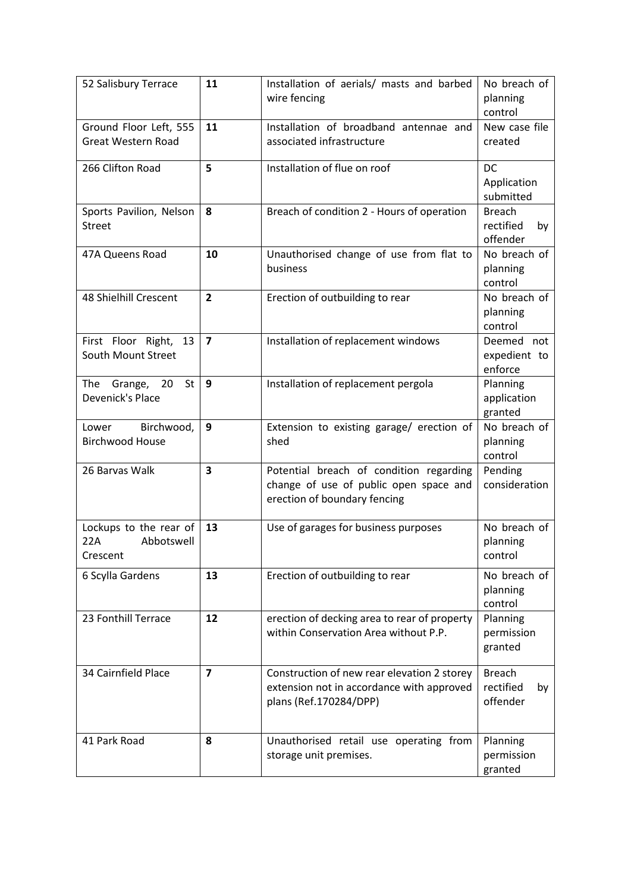| 52 Salisbury Terrace                                    | 11             | Installation of aerials/ masts and barbed<br>wire fencing                                                          | No breach of<br>planning<br>control          |
|---------------------------------------------------------|----------------|--------------------------------------------------------------------------------------------------------------------|----------------------------------------------|
| Ground Floor Left, 555<br><b>Great Western Road</b>     | 11             | Installation of broadband antennae and<br>associated infrastructure                                                | New case file<br>created                     |
| 266 Clifton Road                                        | 5              | Installation of flue on roof                                                                                       | <b>DC</b><br>Application<br>submitted        |
| Sports Pavilion, Nelson<br><b>Street</b>                | 8              | Breach of condition 2 - Hours of operation                                                                         | <b>Breach</b><br>rectified<br>by<br>offender |
| 47A Queens Road                                         | 10             | Unauthorised change of use from flat to<br>business                                                                | No breach of<br>planning<br>control          |
| 48 Shielhill Crescent                                   | $\overline{2}$ | Erection of outbuilding to rear                                                                                    | No breach of<br>planning<br>control          |
| First Floor Right,<br>13<br>South Mount Street          | $\overline{7}$ | Installation of replacement windows                                                                                | Deemed not<br>expedient to<br>enforce        |
| The<br>20<br>St<br>Grange,<br>Devenick's Place          | 9              | Installation of replacement pergola                                                                                | Planning<br>application<br>granted           |
| Birchwood,<br>Lower<br><b>Birchwood House</b>           | 9              | Extension to existing garage/ erection of<br>shed                                                                  | No breach of<br>planning<br>control          |
| 26 Barvas Walk                                          | 3              | Potential breach of condition regarding<br>change of use of public open space and<br>erection of boundary fencing  | Pending<br>consideration                     |
| Lockups to the rear of<br>22A<br>Abbotswell<br>Crescent | 13             | Use of garages for business purposes                                                                               | No breach of<br>planning<br>control          |
| 6 Scylla Gardens                                        | 13             | Erection of outbuilding to rear                                                                                    | No breach of<br>planning<br>control          |
| 23 Fonthill Terrace                                     | 12             | erection of decking area to rear of property<br>within Conservation Area without P.P.                              | Planning<br>permission<br>granted            |
| 34 Cairnfield Place                                     | $\overline{7}$ | Construction of new rear elevation 2 storey<br>extension not in accordance with approved<br>plans (Ref.170284/DPP) | <b>Breach</b><br>rectified<br>by<br>offender |
| 41 Park Road                                            | 8              | Unauthorised retail use operating from<br>storage unit premises.                                                   | Planning<br>permission<br>granted            |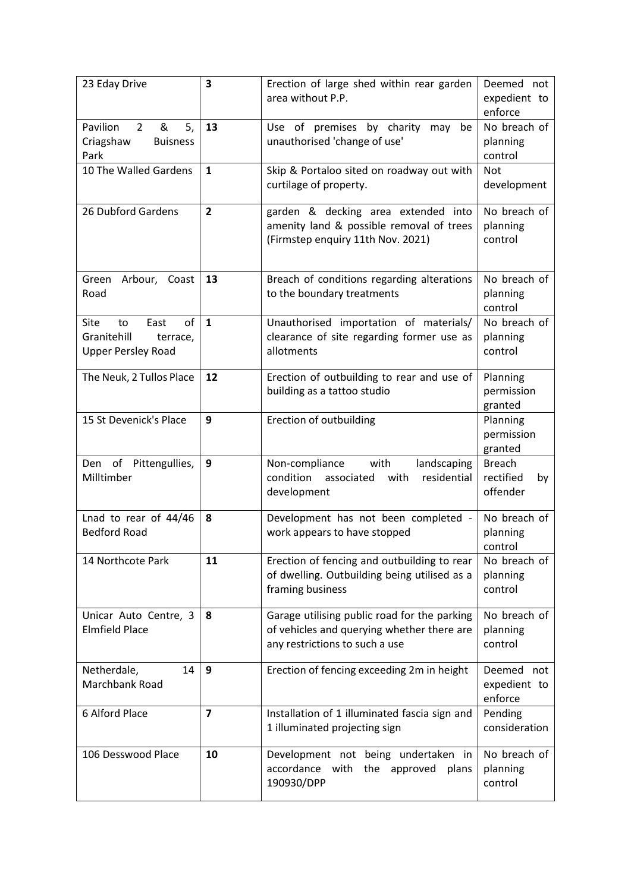| 23 Eday Drive                                                                    | $\overline{\mathbf{3}}$ | Erection of large shed within rear garden<br>area without P.P.                                                               | Deemed not<br>expedient to<br>enforce        |
|----------------------------------------------------------------------------------|-------------------------|------------------------------------------------------------------------------------------------------------------------------|----------------------------------------------|
| Pavilion<br>$\overline{2}$<br>&<br>5,<br>Criagshaw<br><b>Buisness</b><br>Park    | 13                      | Use of premises<br>by charity may<br>be<br>unauthorised 'change of use'                                                      | No breach of<br>planning<br>control          |
| 10 The Walled Gardens                                                            | $\mathbf{1}$            | Skip & Portaloo sited on roadway out with<br>curtilage of property.                                                          | <b>Not</b><br>development                    |
| 26 Dubford Gardens                                                               | $\overline{2}$          | garden & decking area extended into<br>amenity land & possible removal of trees<br>(Firmstep enquiry 11th Nov. 2021)         | No breach of<br>planning<br>control          |
| Green<br>Arbour, Coast<br>Road                                                   | 13                      | Breach of conditions regarding alterations<br>to the boundary treatments                                                     | No breach of<br>planning<br>control          |
| of<br>Site<br>East<br>to<br>Granitehill<br>terrace,<br><b>Upper Persley Road</b> | $\mathbf{1}$            | Unauthorised importation of materials/<br>clearance of site regarding former use as<br>allotments                            | No breach of<br>planning<br>control          |
| The Neuk, 2 Tullos Place                                                         | 12                      | Erection of outbuilding to rear and use of<br>building as a tattoo studio                                                    | Planning<br>permission<br>granted            |
| 15 St Devenick's Place                                                           | 9                       | Erection of outbuilding                                                                                                      | Planning<br>permission<br>granted            |
| Den of Pittengullies,<br>Milltimber                                              | 9                       | with<br>Non-compliance<br>landscaping<br>condition<br>residential<br>associated<br>with<br>development                       | <b>Breach</b><br>rectified<br>by<br>offender |
| Lnad to rear of 44/46<br><b>Bedford Road</b>                                     | 8                       | Development has not been completed -<br>work appears to have stopped                                                         | No breach of<br>planning<br>control          |
| 14 Northcote Park                                                                | 11                      | Erection of fencing and outbuilding to rear<br>of dwelling. Outbuilding being utilised as a<br>framing business              | No breach of<br>planning<br>control          |
| Unicar Auto Centre, 3<br><b>Elmfield Place</b>                                   | 8                       | Garage utilising public road for the parking<br>of vehicles and querying whether there are<br>any restrictions to such a use | No breach of<br>planning<br>control          |
| Netherdale,<br>14<br>Marchbank Road                                              | 9                       | Erection of fencing exceeding 2m in height                                                                                   | Deemed not<br>expedient to<br>enforce        |
| 6 Alford Place                                                                   | $\overline{7}$          | Installation of 1 illuminated fascia sign and<br>1 illuminated projecting sign                                               | Pending<br>consideration                     |
| 106 Desswood Place                                                               | 10                      | Development not being undertaken in<br>accordance with<br>the<br>approved<br>plans<br>190930/DPP                             | No breach of<br>planning<br>control          |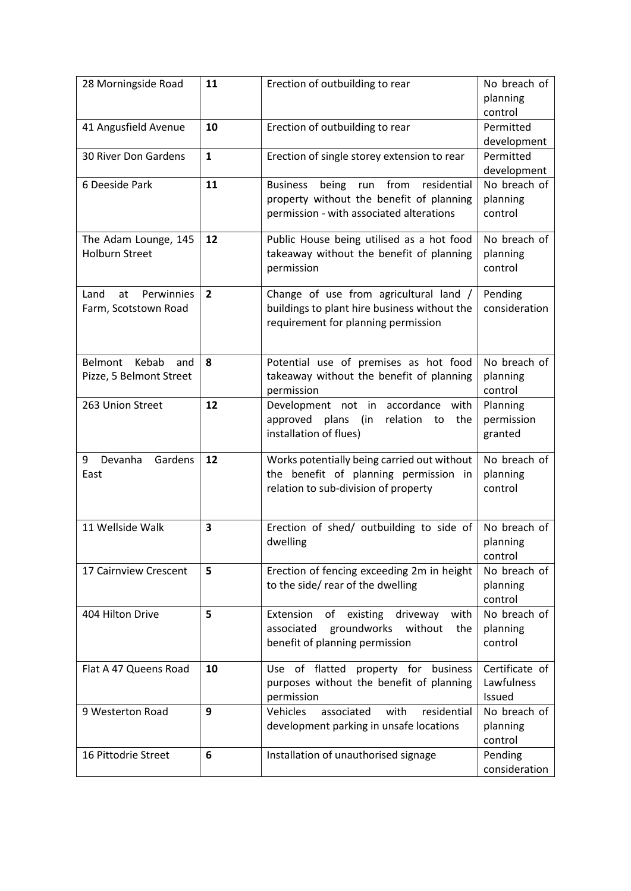| 28 Morningside Road                              | 11             | Erection of outbuilding to rear                                                                                                                | No breach of                           |
|--------------------------------------------------|----------------|------------------------------------------------------------------------------------------------------------------------------------------------|----------------------------------------|
|                                                  |                |                                                                                                                                                | planning                               |
|                                                  |                |                                                                                                                                                | control                                |
| 41 Angusfield Avenue                             | 10             | Erection of outbuilding to rear                                                                                                                | Permitted                              |
|                                                  |                |                                                                                                                                                | development                            |
| 30 River Don Gardens                             | $\mathbf{1}$   | Erection of single storey extension to rear                                                                                                    | Permitted                              |
|                                                  |                |                                                                                                                                                | development                            |
| 6 Deeside Park                                   | 11             | from<br>residential<br><b>Business</b><br>being<br>run<br>property without the benefit of planning<br>permission - with associated alterations | No breach of<br>planning<br>control    |
| The Adam Lounge, 145<br><b>Holburn Street</b>    | 12             | Public House being utilised as a hot food<br>takeaway without the benefit of planning<br>permission                                            | No breach of<br>planning<br>control    |
| Land<br>Perwinnies<br>at<br>Farm, Scotstown Road | $\overline{2}$ | Change of use from agricultural land /<br>buildings to plant hire business without the<br>requirement for planning permission                  | Pending<br>consideration               |
| Belmont Kebab<br>and                             | 8              | Potential use of premises as hot food                                                                                                          | No breach of                           |
| Pizze, 5 Belmont Street                          |                | takeaway without the benefit of planning<br>permission                                                                                         | planning<br>control                    |
| 263 Union Street                                 | 12             | Development not in accordance with<br>approved<br>plans<br>relation to<br>(in<br>the<br>installation of flues)                                 | Planning<br>permission<br>granted      |
| Devanha<br>Gardens<br>9<br>East                  | 12             | Works potentially being carried out without<br>the benefit of planning permission in<br>relation to sub-division of property                   | No breach of<br>planning<br>control    |
| 11 Wellside Walk                                 | 3              | Erection of shed/ outbuilding to side of<br>dwelling                                                                                           | No breach of<br>planning<br>control    |
| 17 Cairnview Crescent                            | 5              | Erection of fencing exceeding 2m in height<br>to the side/ rear of the dwelling                                                                | No breach of<br>planning<br>control    |
| 404 Hilton Drive                                 | 5              | Extension<br>of<br>existing<br>driveway<br>with<br>groundworks<br>associated<br>without<br>the<br>benefit of planning permission               | No breach of<br>planning<br>control    |
| Flat A 47 Queens Road                            | 10             | Use of flatted<br>property for<br>business<br>purposes without the benefit of planning<br>permission                                           | Certificate of<br>Lawfulness<br>Issued |
| 9 Westerton Road                                 | 9              | Vehicles<br>associated<br>with<br>residential<br>development parking in unsafe locations                                                       | No breach of<br>planning<br>control    |
| 16 Pittodrie Street                              | 6              | Installation of unauthorised signage                                                                                                           | Pending                                |
|                                                  |                |                                                                                                                                                | consideration                          |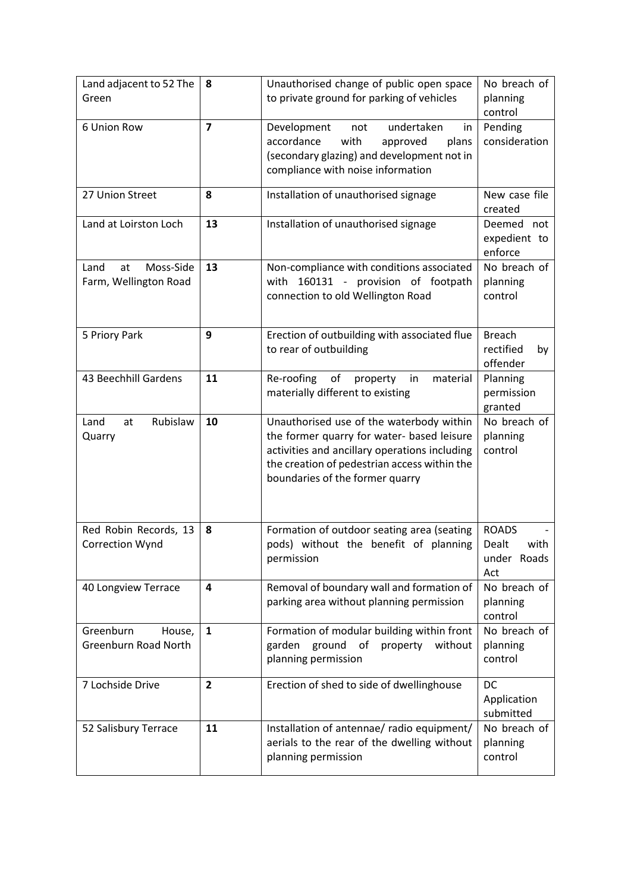| Land adjacent to 52 The<br>Green                   | 8              | Unauthorised change of public open space<br>to private ground for parking of vehicles                                                                                                                                      | No breach of<br>planning<br>control                 |
|----------------------------------------------------|----------------|----------------------------------------------------------------------------------------------------------------------------------------------------------------------------------------------------------------------------|-----------------------------------------------------|
| 6 Union Row                                        | $\overline{7}$ | undertaken<br>Development<br>not<br>in<br>accordance<br>with<br>approved<br>plans<br>(secondary glazing) and development not in<br>compliance with noise information                                                       | Pending<br>consideration                            |
| 27 Union Street                                    | 8              | Installation of unauthorised signage                                                                                                                                                                                       | New case file<br>created                            |
| Land at Loirston Loch                              | 13             | Installation of unauthorised signage                                                                                                                                                                                       | Deemed not<br>expedient to<br>enforce               |
| Moss-Side<br>Land<br>at<br>Farm, Wellington Road   | 13             | Non-compliance with conditions associated<br>160131 - provision of footpath<br>with<br>connection to old Wellington Road                                                                                                   | No breach of<br>planning<br>control                 |
| 5 Priory Park                                      | 9              | Erection of outbuilding with associated flue<br>to rear of outbuilding                                                                                                                                                     | <b>Breach</b><br>rectified<br>by<br>offender        |
| 43 Beechhill Gardens                               | 11             | Re-roofing<br>of<br>property<br>in<br>material<br>materially different to existing                                                                                                                                         | Planning<br>permission<br>granted                   |
| Rubislaw<br>Land<br>at<br>Quarry                   | 10             | Unauthorised use of the waterbody within<br>the former quarry for water- based leisure<br>activities and ancillary operations including<br>the creation of pedestrian access within the<br>boundaries of the former quarry | No breach of<br>planning<br>control                 |
| Red Robin Records, 13<br><b>Correction Wynd</b>    | 8              | Formation of outdoor seating area (seating<br>pods) without the benefit of planning<br>permission                                                                                                                          | <b>ROADS</b><br>Dealt<br>with<br>under Roads<br>Act |
| 40 Longview Terrace                                | 4              | Removal of boundary wall and formation of<br>parking area without planning permission                                                                                                                                      | No breach of<br>planning<br>control                 |
| Greenburn<br>House,<br><b>Greenburn Road North</b> | $\mathbf{1}$   | Formation of modular building within front<br>without<br>garden<br>ground of<br>property<br>planning permission                                                                                                            | No breach of<br>planning<br>control                 |
| 7 Lochside Drive                                   | $\overline{2}$ | Erection of shed to side of dwellinghouse                                                                                                                                                                                  | DC<br>Application<br>submitted                      |
| 52 Salisbury Terrace                               | 11             | Installation of antennae/ radio equipment/<br>aerials to the rear of the dwelling without<br>planning permission                                                                                                           | No breach of<br>planning<br>control                 |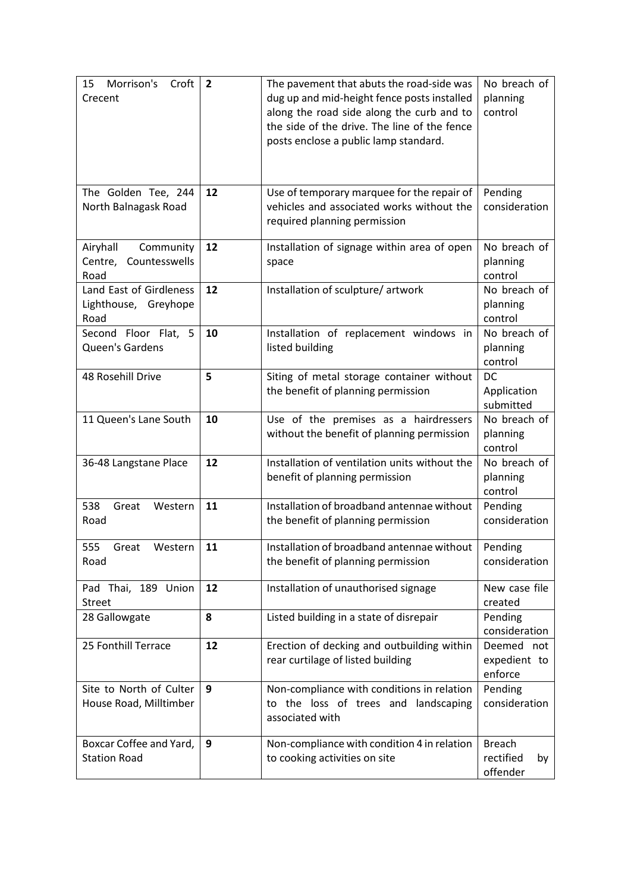| Morrison's<br>15<br>Croft<br>Crecent                      | $\overline{2}$ | The pavement that abuts the road-side was<br>dug up and mid-height fence posts installed<br>along the road side along the curb and to<br>the side of the drive. The line of the fence<br>posts enclose a public lamp standard. | No breach of<br>planning<br>control          |
|-----------------------------------------------------------|----------------|--------------------------------------------------------------------------------------------------------------------------------------------------------------------------------------------------------------------------------|----------------------------------------------|
| The Golden Tee, 244<br>North Balnagask Road               | 12             | Use of temporary marquee for the repair of<br>vehicles and associated works without the<br>required planning permission                                                                                                        | Pending<br>consideration                     |
| Airyhall<br>Community<br>Countesswells<br>Centre,<br>Road | 12             | Installation of signage within area of open<br>space                                                                                                                                                                           | No breach of<br>planning<br>control          |
| Land East of Girdleness<br>Lighthouse, Greyhope<br>Road   | 12             | Installation of sculpture/artwork                                                                                                                                                                                              | No breach of<br>planning<br>control          |
| Second Floor Flat, 5<br>Queen's Gardens                   | 10             | Installation of replacement windows in<br>listed building                                                                                                                                                                      | No breach of<br>planning<br>control          |
| 48 Rosehill Drive                                         | 5              | Siting of metal storage container without<br>the benefit of planning permission                                                                                                                                                | DC<br>Application<br>submitted               |
| 11 Queen's Lane South                                     | 10             | Use of the premises as a hairdressers<br>without the benefit of planning permission                                                                                                                                            | No breach of<br>planning<br>control          |
| 36-48 Langstane Place                                     | 12             | Installation of ventilation units without the<br>benefit of planning permission                                                                                                                                                | No breach of<br>planning<br>control          |
| 538<br>Great<br>Western<br>Road                           | 11             | Installation of broadband antennae without<br>the benefit of planning permission                                                                                                                                               | Pending<br>consideration                     |
| 555<br>Western<br>Great<br>Road                           | 11             | Installation of broadband antennae without<br>the benefit of planning permission                                                                                                                                               | Pending<br>consideration                     |
| Pad Thai, 189 Union<br><b>Street</b>                      | 12             | Installation of unauthorised signage                                                                                                                                                                                           | New case file<br>created                     |
| 28 Gallowgate                                             | 8              | Listed building in a state of disrepair                                                                                                                                                                                        | Pending<br>consideration                     |
| 25 Fonthill Terrace                                       | 12             | Erection of decking and outbuilding within<br>rear curtilage of listed building                                                                                                                                                | Deemed not<br>expedient to<br>enforce        |
| Site to North of Culter<br>House Road, Milltimber         | 9              | Non-compliance with conditions in relation<br>to the loss of trees and landscaping<br>associated with                                                                                                                          | Pending<br>consideration                     |
| Boxcar Coffee and Yard,<br><b>Station Road</b>            | 9              | Non-compliance with condition 4 in relation<br>to cooking activities on site                                                                                                                                                   | <b>Breach</b><br>rectified<br>by<br>offender |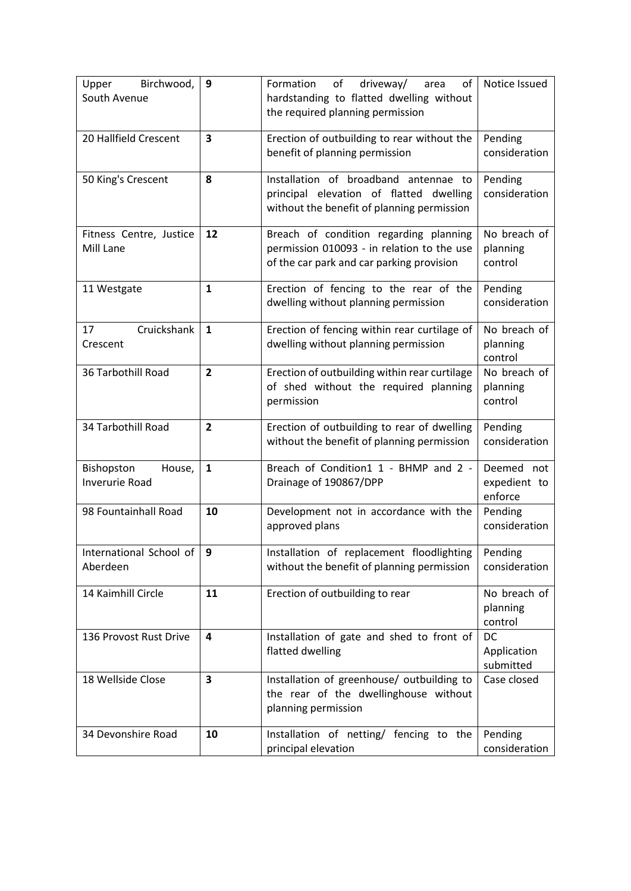| Birchwood,<br>Upper<br>South Avenue           | 9                       | driveway/<br>Formation<br>of<br>of<br>area<br>hardstanding to flatted dwelling without<br>the required planning permission        | Notice Issued                         |
|-----------------------------------------------|-------------------------|-----------------------------------------------------------------------------------------------------------------------------------|---------------------------------------|
| 20 Hallfield Crescent                         | $\overline{\mathbf{3}}$ | Erection of outbuilding to rear without the<br>benefit of planning permission                                                     | Pending<br>consideration              |
| 50 King's Crescent                            | 8                       | Installation of broadband antennae to<br>principal elevation of flatted dwelling<br>without the benefit of planning permission    | Pending<br>consideration              |
| Fitness Centre, Justice<br>Mill Lane          | 12                      | Breach of condition regarding planning<br>permission 010093 - in relation to the use<br>of the car park and car parking provision | No breach of<br>planning<br>control   |
| 11 Westgate                                   | $\mathbf{1}$            | Erection of fencing to the rear of the<br>dwelling without planning permission                                                    | Pending<br>consideration              |
| Cruickshank<br>17<br>Crescent                 | $\mathbf{1}$            | Erection of fencing within rear curtilage of<br>dwelling without planning permission                                              | No breach of<br>planning<br>control   |
| 36 Tarbothill Road                            | $\overline{2}$          | Erection of outbuilding within rear curtilage<br>of shed without the required planning<br>permission                              | No breach of<br>planning<br>control   |
| 34 Tarbothill Road                            | $\overline{2}$          | Erection of outbuilding to rear of dwelling<br>without the benefit of planning permission                                         | Pending<br>consideration              |
| Bishopston<br>House,<br><b>Inverurie Road</b> | $\mathbf{1}$            | Breach of Condition1 1 - BHMP and 2 -<br>Drainage of 190867/DPP                                                                   | Deemed not<br>expedient to<br>enforce |
| 98 Fountainhall Road                          | 10                      | Development not in accordance with the<br>approved plans                                                                          | Pending<br>consideration              |
| International School of<br>Aberdeen           | 9                       | Installation of replacement floodlighting<br>without the benefit of planning permission                                           | Pending<br>consideration              |
| 14 Kaimhill Circle                            | 11                      | Erection of outbuilding to rear                                                                                                   | No breach of<br>planning<br>control   |
| 136 Provost Rust Drive                        | 4                       | Installation of gate and shed to front of<br>flatted dwelling                                                                     | DC<br>Application<br>submitted        |
| 18 Wellside Close                             | 3                       | Installation of greenhouse/ outbuilding to<br>the rear of the dwellinghouse without<br>planning permission                        | Case closed                           |
| 34 Devonshire Road                            | 10                      | Installation of netting/ fencing to the<br>principal elevation                                                                    | Pending<br>consideration              |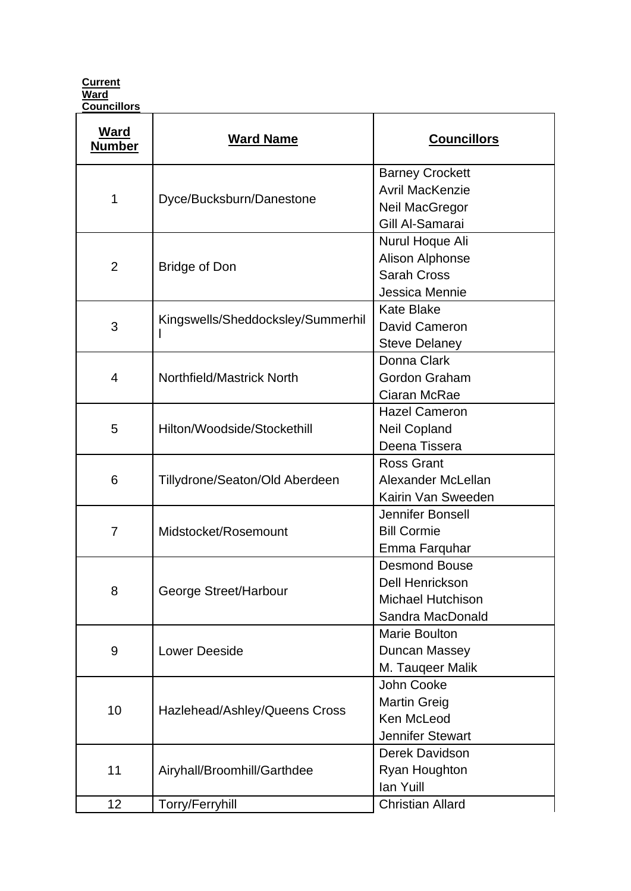**Current Ward Councillors** 

| <b>Ward</b><br><b>Number</b> | <b>Ward Name</b>                  | <b>Councillors</b>                                                                      |
|------------------------------|-----------------------------------|-----------------------------------------------------------------------------------------|
| 1                            | Dyce/Bucksburn/Danestone          | <b>Barney Crockett</b><br><b>Avril MacKenzie</b><br>Neil MacGregor<br>Gill Al-Samarai   |
| $\overline{2}$               | <b>Bridge of Don</b>              | Nurul Hoque Ali<br><b>Alison Alphonse</b><br><b>Sarah Cross</b><br>Jessica Mennie       |
| 3                            | Kingswells/Sheddocksley/Summerhil | <b>Kate Blake</b><br>David Cameron<br><b>Steve Delaney</b>                              |
| 4                            | Northfield/Mastrick North         | Donna Clark<br>Gordon Graham<br>Ciaran McRae                                            |
| 5                            | Hilton/Woodside/Stockethill       | <b>Hazel Cameron</b><br>Neil Copland<br>Deena Tissera                                   |
| 6                            | Tillydrone/Seaton/Old Aberdeen    | <b>Ross Grant</b><br>Alexander McLellan<br>Kairin Van Sweeden                           |
| $\overline{7}$               | Midstocket/Rosemount              | Jennifer Bonsell<br><b>Bill Cormie</b><br>Emma Farquhar                                 |
| 8                            | George Street/Harbour             | <b>Desmond Bouse</b><br>Dell Henrickson<br><b>Michael Hutchison</b><br>Sandra MacDonald |
| 9                            | <b>Lower Deeside</b>              | Marie Boulton<br>Duncan Massey<br>M. Taugeer Malik                                      |
| 10                           | Hazlehead/Ashley/Queens Cross     | John Cooke<br><b>Martin Greig</b><br>Ken McLeod<br><b>Jennifer Stewart</b>              |
| 11                           | Airyhall/Broomhill/Garthdee       | Derek Davidson<br>Ryan Houghton<br>lan Yuill                                            |
| 12                           | Torry/Ferryhill                   | <b>Christian Allard</b>                                                                 |